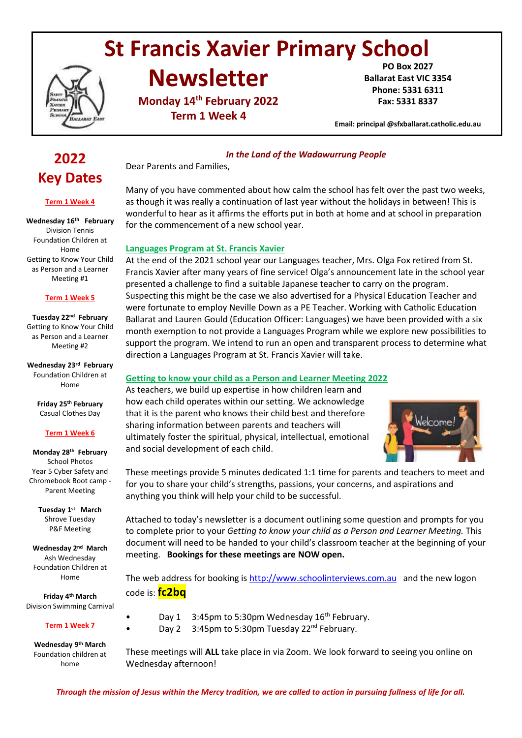# **St Francis Xavier Primary School**

**Newsletter**

**Monday 14th February 2022 Term 1 Week 4**

**PO Box 2027 Ballarat East VIC 3354 Phone: 5331 6311 Fax: 5331 8337**

**Email: principal @sfxballarat.catholic.edu.au** 

# **2022 Key Dates**

#### **Term 1 Week 4**

**Wednesday 16th February** Division Tennis Foundation Children at Home Getting to Know Your Child as Person and a Learner Meeting #1

#### **Term 1 Week 5**

**Tuesday 22nd February** Getting to Know Your Child as Person and a Learner Meeting #2

**Wednesday 23rd February** Foundation Children at Home

> **Friday 25th February** Casual Clothes Day

#### **Term 1 Week 6**

#### **Monday 28th February** School Photos Year 5 Cyber Safety and Chromebook Boot camp - Parent Meeting

**Tuesday 1 st March** Shrove Tuesday P&F Meeting

**Wednesday 2 nd March** Ash Wednesday Foundation Children at Home

**Friday 4th March** Division Swimming Carnival

#### **Term 1 Week 7**

**Wednesday 9th March** Foundation children at home

#### *In the Land of the Wadawurrung People*

Dear Parents and Families,

Many of you have commented about how calm the school has felt over the past two weeks, as though it was really a continuation of last year without the holidays in between! This is wonderful to hear as it affirms the efforts put in both at home and at school in preparation for the commencement of a new school year.

#### **Languages Program at St. Francis Xavier**

At the end of the 2021 school year our Languages teacher, Mrs. Olga Fox retired from St. Francis Xavier after many years of fine service! Olga's announcement late in the school year presented a challenge to find a suitable Japanese teacher to carry on the program. Suspecting this might be the case we also advertised for a Physical Education Teacher and were fortunate to employ Neville Down as a PE Teacher. Working with Catholic Education Ballarat and Lauren Gould (Education Officer: Languages) we have been provided with a six month exemption to not provide a Languages Program while we explore new possibilities to support the program. We intend to run an open and transparent process to determine what direction a Languages Program at St. Francis Xavier will take.

#### **Getting to know your child as a Person and Learner Meeting 2022**

As teachers, we build up expertise in how children learn and how each child operates within our setting. We acknowledge that it is the parent who knows their child best and therefore sharing information between parents and teachers will ultimately foster the spiritual, physical, intellectual, emotional and social development of each child.



These meetings provide 5 minutes dedicated 1:1 time for parents and teachers to meet and for you to share your child's strengths, passions, your concerns, and aspirations and anything you think will help your child to be successful.

Attached to today's newsletter is a document outlining some question and prompts for you to complete prior to your *Getting to know your child as a Person and Learner Meeting.* This document will need to be handed to your child's classroom teacher at the beginning of your meeting. **Bookings for these meetings are NOW open.**

The web address for booking is [http://www.schoolinterviews.com.au](http://www.schoolinterviews.com.au/) and the new logon code is: **fc2bq**

Day 1 3:45pm to 5:30pm Wednesday 16<sup>th</sup> February. Day 2 3:45pm to 5:30pm Tuesday 22<sup>nd</sup> February.

These meetings will **ALL** take place in via Zoom. We look forward to seeing you online on Wednesday afternoon!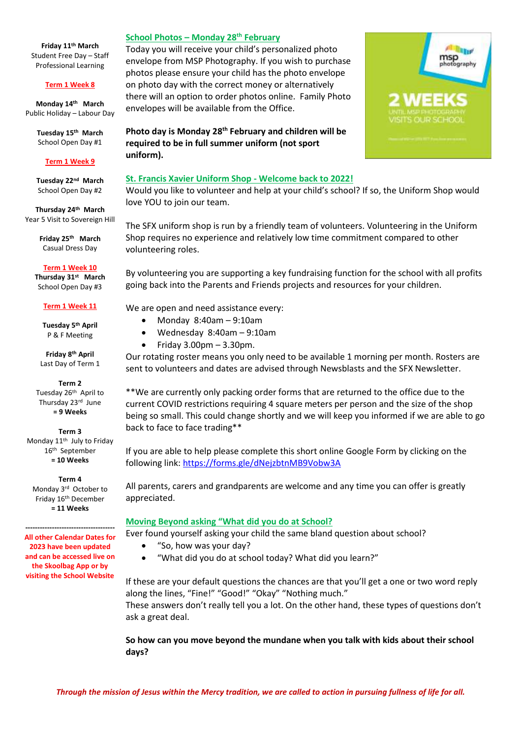**Friday 11th March** Student Free Day – Staff Professional Learning

#### **Term 1 Week 8**

**Monday 14th March** Public Holiday – Labour Day

> **Tuesday 15th March** School Open Day #1

#### **Term 1 Week 9**

**Tuesday 22nd March** School Open Day #2

**Thursday 24th March** Year 5 Visit to Sovereign Hill

> **Friday 25th March** Casual Dress Day

**Term 1 Week 10 Thursday 31st March** School Open Day #3

#### **Term 1 Week 11**

**Tuesday 5th April** P & F Meeting

**Friday 8th April** Last Day of Term 1

**Term 2** Tuesday 26th April to Thursday 23<sup>rd</sup> June **= 9 Weeks**

#### **Term 3**

Monday 11<sup>th</sup> July to Friday 16th September **= 10 Weeks**

**Term 4** Monday 3rd October to Friday 16th December **= 11 Weeks**

**------------------------------------- All other Calendar Dates for 2023 have been updated and can be accessed live on the Skoolbag App or by visiting the School Website**

#### **School Photos – Monday 28th February**

Today you will receive your child's personalized photo envelope from MSP Photography. If you wish to purchase photos please ensure your child has the photo envelope on photo day with the correct money or alternatively there will an option to order photos online. Family Photo envelopes will be available from the Office.

**Photo day is Monday 28th February and children will be required to be in full summer uniform (not sport uniform).** 

#### **St. Francis Xavier Uniform Shop - Welcome back to 2022!**

Would you like to volunteer and help at your child's school? If so, the Uniform Shop would love YOU to join our team.

The SFX uniform shop is run by a friendly team of volunteers. Volunteering in the Uniform Shop requires no experience and relatively low time commitment compared to other volunteering roles.

By volunteering you are supporting a key fundraising function for the school with all profits going back into the Parents and Friends projects and resources for your children.

We are open and need assistance every:

- Monday 8:40am 9:10am
- Wednesday 8:40am 9:10am
- $\bullet$  Friday 3.00pm 3.30pm.

Our rotating roster means you only need to be available 1 morning per month. Rosters are sent to volunteers and dates are advised through Newsblasts and the SFX Newsletter.

\*\*We are currently only packing order forms that are returned to the office due to the current COVID restrictions requiring 4 square meters per person and the size of the shop being so small. This could change shortly and we will keep you informed if we are able to go back to face to face trading\*\*

If you are able to help please complete this short online Google Form by clicking on the following link[: https://forms.gle/dNejzbtnMB9Vobw3A](https://forms.gle/dNejzbtnMB9Vobw3A)

All parents, carers and grandparents are welcome and any time you can offer is greatly appreciated.

#### **Moving Beyond asking "What did you do at School?**

Ever found yourself asking your child the same bland question about school?

- "So, how was your day?
- "What did you do at school today? What did you learn?"

If these are your default questions the chances are that you'll get a one or two word reply along the lines, "Fine!" "Good!" "Okay" "Nothing much." These answers don't really tell you a lot. On the other hand, these types of questions don't ask a great deal.

**So how can you move beyond the mundane when you talk with kids about their school days?**

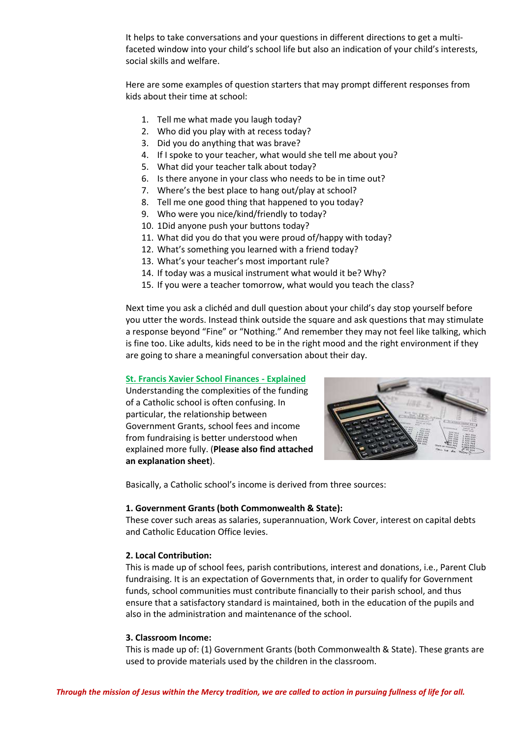It helps to take conversations and your questions in different directions to get a multifaceted window into your child's school life but also an indication of your child's interests, social skills and welfare.

Here are some examples of question starters that may prompt different responses from kids about their time at school:

- 1. Tell me what made you laugh today?
- 2. Who did you play with at recess today?
- 3. Did you do anything that was brave?
- 4. If I spoke to your teacher, what would she tell me about you?
- 5. What did your teacher talk about today?
- 6. Is there anyone in your class who needs to be in time out?
- 7. Where's the best place to hang out/play at school?
- 8. Tell me one good thing that happened to you today?
- 9. Who were you nice/kind/friendly to today?
- 10. 1Did anyone push your buttons today?
- 11. What did you do that you were proud of/happy with today?
- 12. What's something you learned with a friend today?
- 13. What's your teacher's most important rule?
- 14. If today was a musical instrument what would it be? Why?
- 15. If you were a teacher tomorrow, what would you teach the class?

Next time you ask a clichéd and dull question about your child's day stop yourself before you utter the words. Instead think outside the square and ask questions that may stimulate a response beyond "Fine" or "Nothing." And remember they may not feel like talking, which is fine too. Like adults, kids need to be in the right mood and the right environment if they are going to share a meaningful conversation about their day.

#### **St. Francis Xavier School Finances - Explained**

Understanding the complexities of the funding of a Catholic school is often confusing. In particular, the relationship between Government Grants, school fees and income from fundraising is better understood when explained more fully. (**Please also find attached an explanation sheet**).



Basically, a Catholic school's income is derived from three sources:

#### **1. Government Grants (both Commonwealth & State):**

These cover such areas as salaries, superannuation, Work Cover, interest on capital debts and Catholic Education Office levies.

#### **2. Local Contribution:**

This is made up of school fees, parish contributions, interest and donations, i.e., Parent Club fundraising. It is an expectation of Governments that, in order to qualify for Government funds, school communities must contribute financially to their parish school, and thus ensure that a satisfactory standard is maintained, both in the education of the pupils and also in the administration and maintenance of the school.

#### **3. Classroom Income:**

This is made up of: (1) Government Grants (both Commonwealth & State). These grants are used to provide materials used by the children in the classroom.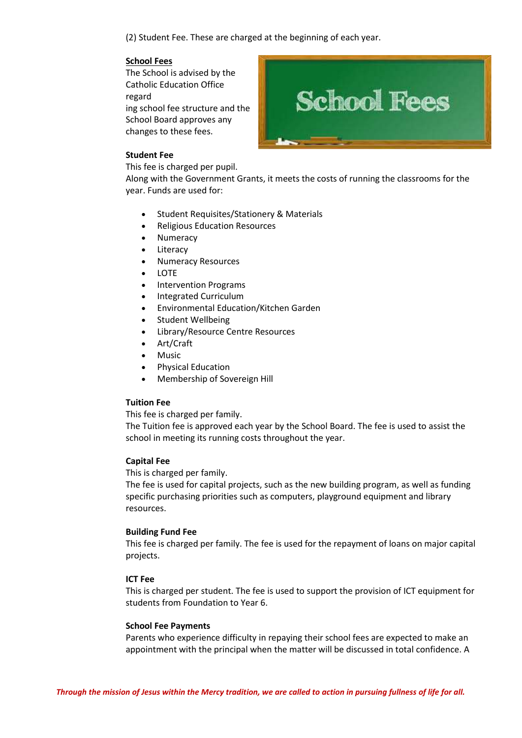(2) Student Fee. These are charged at the beginning of each year.

#### **School Fees**

The School is advised by the Catholic Education Office regard ing school fee structure and the School Board approves any changes to these fees.



#### **Student Fee**

This fee is charged per pupil.

Along with the Government Grants, it meets the costs of running the classrooms for the year. Funds are used for:

- Student Requisites/Stationery & Materials
- Religious Education Resources
- Numeracy
- Literacy
- Numeracy Resources
- LOTE
- Intervention Programs
- Integrated Curriculum
- Environmental Education/Kitchen Garden
- Student Wellbeing
- Library/Resource Centre Resources
- Art/Craft
- Music
- Physical Education
- Membership of Sovereign Hill

#### **Tuition Fee**

This fee is charged per family.

The Tuition fee is approved each year by the School Board. The fee is used to assist the school in meeting its running costs throughout the year.

#### **Capital Fee**

This is charged per family.

The fee is used for capital projects, such as the new building program, as well as funding specific purchasing priorities such as computers, playground equipment and library resources.

#### **Building Fund Fee**

This fee is charged per family. The fee is used for the repayment of loans on major capital projects.

#### **ICT Fee**

This is charged per student. The fee is used to support the provision of ICT equipment for students from Foundation to Year 6.

#### **School Fee Payments**

Parents who experience difficulty in repaying their school fees are expected to make an appointment with the principal when the matter will be discussed in total confidence. A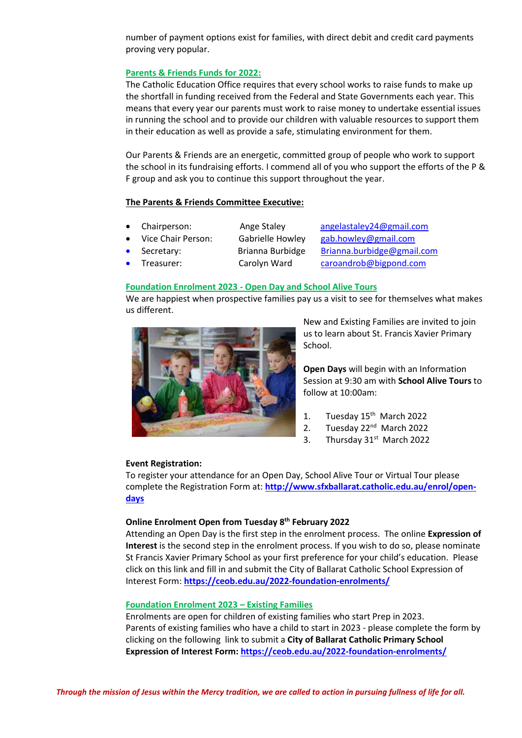number of payment options exist for families, with direct debit and credit card payments proving very popular.

#### **Parents & Friends Funds for 2022:**

The Catholic Education Office requires that every school works to raise funds to make up the shortfall in funding received from the Federal and State Governments each year. This means that every year our parents must work to raise money to undertake essential issues in running the school and to provide our children with valuable resources to support them in their education as well as provide a safe, stimulating environment for them.

Our Parents & Friends are an energetic, committed group of people who work to support the school in its fundraising efforts. I commend all of you who support the efforts of the P & F group and ask you to continue this support throughout the year.

#### **The Parents & Friends Committee Executive:**

- 
- 
- 

 Chairperson: Ange Staley [angelastaley24@gmail.com](mailto:angelastaley24@gmail.com) Vice Chair Person: Gabrielle Howley [gab.howley@gmail.com](mailto:gab.howley@gmail.com) Secretary: Brianna Burbidge [Brianna.burbidge@gmail.com](mailto:Brianna.burbidge@gmail.com) Treasurer: Carolyn Ward [caroandrob@bigpond.com](mailto:caroandrob@bigpond.com)

#### **Foundation Enrolment 2023 - Open Day and School Alive Tours**

We are happiest when prospective families pay us a visit to see for themselves what makes us different.



New and Existing Families are invited to join us to learn about St. Francis Xavier Primary School.

**Open Days** will begin with an Information Session at 9:30 am with **School Alive Tours** to follow at 10:00am:

- 1. Tuesday 15<sup>th</sup> March 2022
- 2. Tuesday 22<sup>nd</sup> March 2022
- 3. Thursday 31<sup>st</sup> March 2022

#### **Event Registration:**

To register your attendance for an Open Day, School Alive Tour or Virtual Tour please complete the Registration Form at: **[http://www.sfxballarat.catholic.edu.au/enrol/open](http://www.sfxballarat.catholic.edu.au/enrol/open-days)[days](http://www.sfxballarat.catholic.edu.au/enrol/open-days)**

#### **Online Enrolment Open from Tuesday 8 th February 2022**

Attending an Open Day is the first step in the enrolment process. The online **Expression of Interest** is the second step in the enrolment process. If you wish to do so, please nominate St Francis Xavier Primary School as your first preference for your child's education. Please click on this link and fill in and submit the City of Ballarat Catholic School Expression of Interest Form: **<https://ceob.edu.au/2022-foundation-enrolments/>**

#### **Foundation Enrolment 2023 – Existing Families**

Enrolments are open for children of existing families who start Prep in 2023. Parents of existing families who have a child to start in 2023 - please complete the form by clicking on the following link to submit a **City of Ballarat Catholic Primary School Expression of Interest Form[: https://ceob.edu.au/2022-foundation-enrolments/](https://ceob.edu.au/2022-foundation-enrolments/)**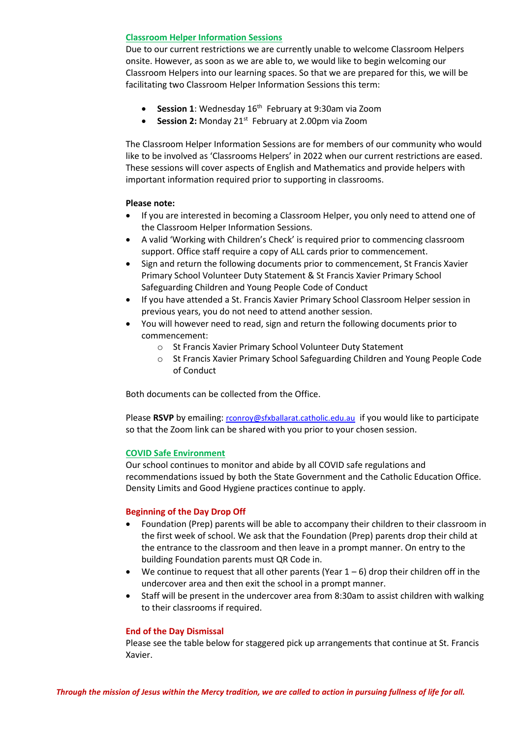#### **Classroom Helper Information Sessions**

Due to our current restrictions we are currently unable to welcome Classroom Helpers onsite. However, as soon as we are able to, we would like to begin welcoming our Classroom Helpers into our learning spaces. So that we are prepared for this, we will be facilitating two Classroom Helper Information Sessions this term:

- **Session 1**: Wednesday 16<sup>th</sup> February at 9:30am via Zoom
- **Session 2:** Monday 21<sup>st</sup> February at 2.00pm via Zoom

The Classroom Helper Information Sessions are for members of our community who would like to be involved as 'Classrooms Helpers' in 2022 when our current restrictions are eased. These sessions will cover aspects of English and Mathematics and provide helpers with important information required prior to supporting in classrooms.

#### **Please note:**

- If you are interested in becoming a Classroom Helper, you only need to attend one of the Classroom Helper Information Sessions.
- A valid 'Working with Children's Check' is required prior to commencing classroom support. Office staff require a copy of ALL cards prior to commencement.
- Sign and return the following documents prior to commencement, St Francis Xavier Primary School Volunteer Duty Statement & St Francis Xavier Primary School Safeguarding Children and Young People Code of Conduct
- If you have attended a St. Francis Xavier Primary School Classroom Helper session in previous years, you do not need to attend another session.
- You will however need to read, sign and return the following documents prior to commencement:
	- o St Francis Xavier Primary School Volunteer Duty Statement
	- o St Francis Xavier Primary School Safeguarding Children and Young People Code of Conduct

Both documents can be collected from the Office.

Please **RSVP** by emailing: [rconroy@sfxballarat.catholic.edu.au](mailto:rconroy@sfxballarat.catholic.edu.au) if you would like to participate so that the Zoom link can be shared with you prior to your chosen session.

#### **COVID Safe Environment**

Our school continues to monitor and abide by all COVID safe regulations and recommendations issued by both the State Government and the Catholic Education Office. Density Limits and Good Hygiene practices continue to apply.

#### **Beginning of the Day Drop Off**

- Foundation (Prep) parents will be able to accompany their children to their classroom in the first week of school. We ask that the Foundation (Prep) parents drop their child at the entrance to the classroom and then leave in a prompt manner. On entry to the building Foundation parents must QR Code in.
- $\bullet$  We continue to request that all other parents (Year  $1-6$ ) drop their children off in the undercover area and then exit the school in a prompt manner.
- Staff will be present in the undercover area from 8:30am to assist children with walking to their classrooms if required.

#### **End of the Day Dismissal**

Please see the table below for staggered pick up arrangements that continue at St. Francis Xavier.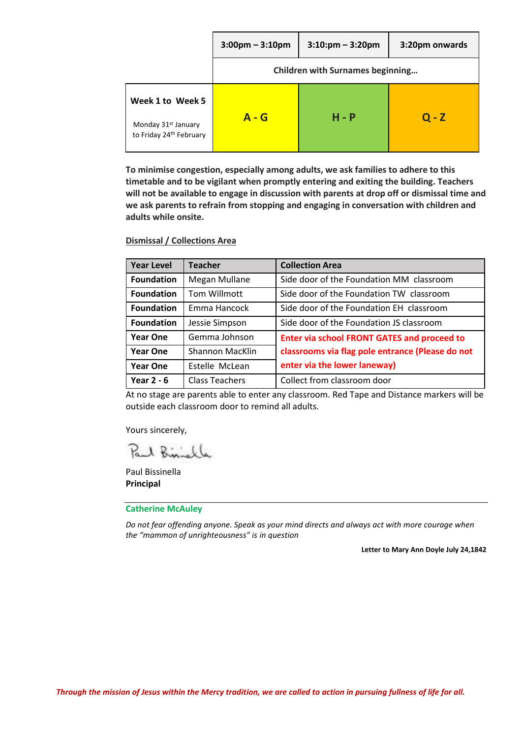|                                                                                | $3:00$ pm – $3:10$ pm                   | $3:10:pm - 3:20pm$ | 3:20pm onwards |
|--------------------------------------------------------------------------------|-----------------------------------------|--------------------|----------------|
|                                                                                | <b>Children with Surnames beginning</b> |                    |                |
| Week 1 to Week 5<br>Monday 31 <sup>st</sup> January<br>to Friday 24th February | A - G                                   | $H - P$            | $Q - Z$        |

**To minimise congestion, especially among adults, we ask families to adhere to this timetable and to be vigilant when promptly entering and exiting the building. Teachers will not be available to engage in discussion with parents at drop off or dismissal time and we ask parents to refrain from stopping and engaging in conversation with children and adults while onsite.**

#### **Dismissal / Collections Area**

| <b>Year Level</b> | <b>Teacher</b>        | <b>Collection Area</b>                             |
|-------------------|-----------------------|----------------------------------------------------|
| <b>Foundation</b> | Megan Mullane         | Side door of the Foundation MM classroom           |
| <b>Foundation</b> | Tom Willmott          | Side door of the Foundation TW classroom           |
| <b>Foundation</b> | Emma Hancock          | Side door of the Foundation EH classroom           |
| <b>Foundation</b> | Jessie Simpson        | Side door of the Foundation JS classroom           |
| <b>Year One</b>   | Gemma Johnson         | <b>Enter via school FRONT GATES and proceed to</b> |
| <b>Year One</b>   | Shannon MacKlin       | classrooms via flag pole entrance (Please do not   |
| <b>Year One</b>   | Estelle McLean        | enter via the lower laneway)                       |
| Year $2 - 6$      | <b>Class Teachers</b> | Collect from classroom door                        |

At no stage are parents able to enter any classroom. Red Tape and Distance markers will be outside each classroom door to remind all adults.

Yours sincerely,

Paul Biniskle

Paul Bissinella **Principal**

#### **Catherine McAuley**

*Do not fear offending anyone. Speak as your mind directs and always act with more courage when the "mammon of unrighteousness" is in question* 

**Letter to Mary Ann Doyle July 24,1842**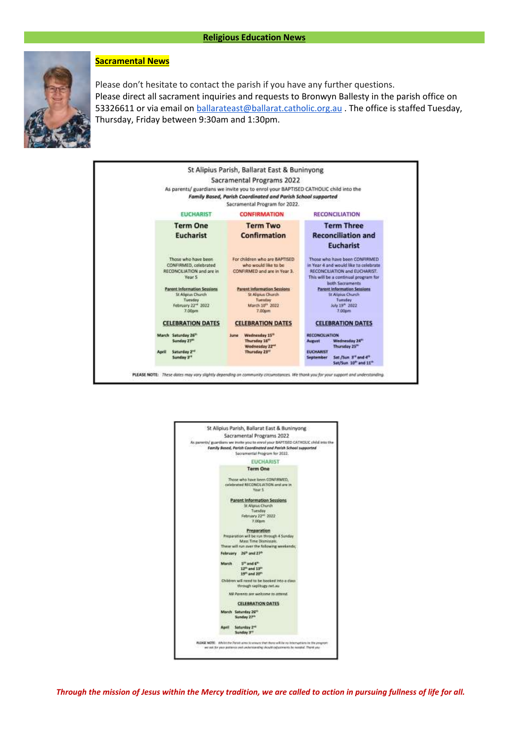

#### **Sacramental News**

Please don't hesitate to contact the parish if you have any further questions. Please direct all sacrament inquiries and requests to Bronwyn Ballesty in the parish office on 53326611 or via email on [ballarateast@ballarat.catholic.org.au](mailto:ballarateast@ballarat.catholic.org.au) . The office is staffed Tuesday, Thursday, Friday between 9:30am and 1:30pm.



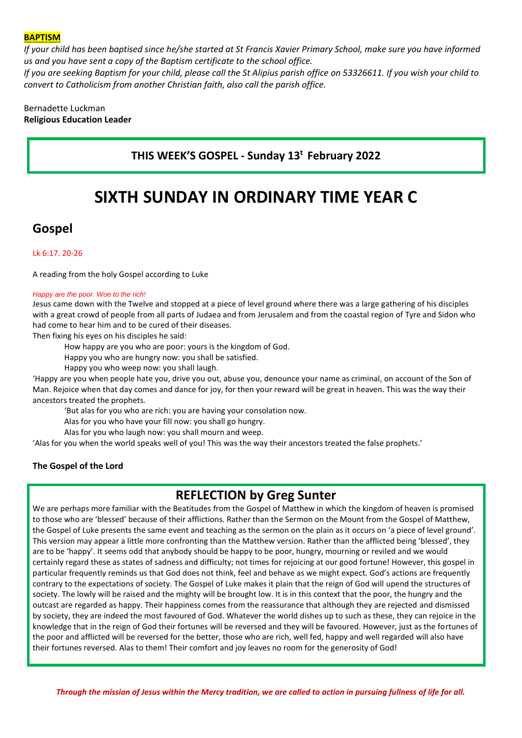#### **BAPTISM**

*If your child has been baptised since he/she started at St Francis Xavier Primary School, make sure you have informed us and you have sent a copy of the Baptism certificate to the school office.*

*If you are seeking Baptism for your child, please call the St Alipius parish office on 53326611. If you wish your child to convert to Catholicism from another Christian faith, also call the parish office.*

Bernadette Luckman **Religious Education Leader**

## **THIS WEEK'S GOSPEL - Sunday 13<sup>t</sup> February 2022**

# **SIXTH SUNDAY IN ORDINARY TIME YEAR C**

## **Gospel**

#### Lk 6:17. 20-26

A reading from the holy Gospel according to Luke

#### *Happy are the poor. Woe to the rich!*

Jesus came down with the Twelve and stopped at a piece of level ground where there was a large gathering of his disciples with a great crowd of people from all parts of Judaea and from Jerusalem and from the coastal region of Tyre and Sidon who had come to hear him and to be cured of their diseases.

Then fixing his eyes on his disciples he said:

How happy are you who are poor: yours is the kingdom of God.

Happy you who are hungry now: you shall be satisfied.

Happy you who weep now: you shall laugh.

'Happy are you when people hate you, drive you out, abuse you, denounce your name as criminal, on account of the Son of Man. Rejoice when that day comes and dance for joy, for then your reward will be great in heaven. This was the way their ancestors treated the prophets.

'But alas for you who are rich: you are having your consolation now.

Alas for you who have your fill now: you shall go hungry.

Alas for you who laugh now: you shall mourn and weep.

'Alas for you when the world speaks well of you! This was the way their ancestors treated the false prophets.'

#### **The Gospel of the Lord**

# **REFLECTION by Greg Sunter**

We are perhaps more familiar with the Beatitudes from the Gospel of Matthew in which the kingdom of heaven is promised to those who are 'blessed' because of their afflictions. Rather than the Sermon on the Mount from the Gospel of Matthew, the Gospel of Luke presents the same event and teaching as the sermon on the plain as it occurs on 'a piece of level ground'. This version may appear a little more confronting than the Matthew version. Rather than the afflicted being 'blessed', they are to be 'happy'. It seems odd that anybody should be happy to be poor, hungry, mourning or reviled and we would certainly regard these as states of sadness and difficulty; not times for rejoicing at our good fortune! However, this gospel in particular frequently reminds us that God does not think, feel and behave as we might expect. God's actions are frequently contrary to the expectations of society. The Gospel of Luke makes it plain that the reign of God will upend the structures of society. The lowly will be raised and the mighty will be brought low. It is in this context that the poor, the hungry and the outcast are regarded as happy. Their happiness comes from the reassurance that although they are rejected and dismissed by society, they are indeed the most favoured of God. Whatever the world dishes up to such as these, they can rejoice in the knowledge that in the reign of God their fortunes will be reversed and they will be favoured. However, just as the fortunes of the poor and afflicted will be reversed for the better, those who are rich, well fed, happy and well regarded will also have their fortunes reversed. Alas to them! Their comfort and joy leaves no room for the generosity of God!

*Through the mission of Jesus within the Mercy tradition, we are called to action in pursuing fullness of life for all.*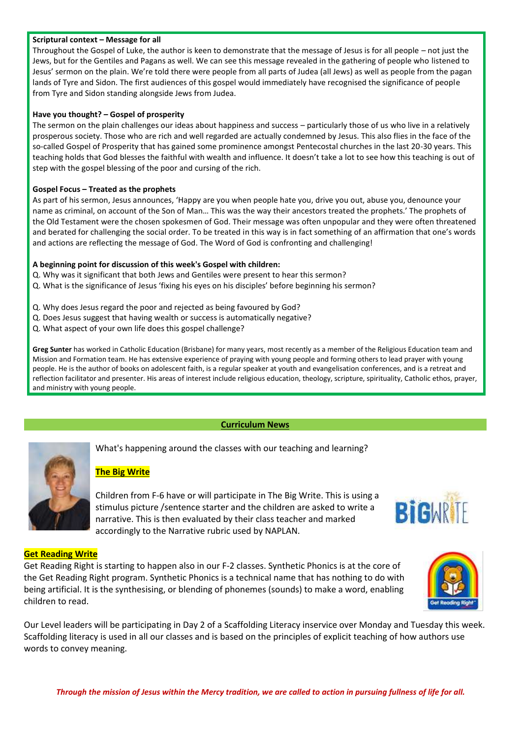#### **Scriptural context – Message for all**

Throughout the Gospel of Luke, the author is keen to demonstrate that the message of Jesus is for all people – not just the Jews, but for the Gentiles and Pagans as well. We can see this message revealed in the gathering of people who listened to Jesus' sermon on the plain. We're told there were people from all parts of Judea (all Jews) as well as people from the pagan lands of Tyre and Sidon. The first audiences of this gospel would immediately have recognised the significance of people from Tyre and Sidon standing alongside Jews from Judea.

#### **Have you thought? – Gospel of prosperity**

The sermon on the plain challenges our ideas about happiness and success – particularly those of us who live in a relatively prosperous society. Those who are rich and well regarded are actually condemned by Jesus. This also flies in the face of the so-called Gospel of Prosperity that has gained some prominence amongst Pentecostal churches in the last 20-30 years. This teaching holds that God blesses the faithful with wealth and influence. It doesn't take a lot to see how this teaching is out of step with the gospel blessing of the poor and cursing of the rich.

#### **Gospel Focus – Treated as the prophets**

As part of his sermon, Jesus announces, 'Happy are you when people hate you, drive you out, abuse you, denounce your name as criminal, on account of the Son of Man… This was the way their ancestors treated the prophets.' The prophets of the Old Testament were the chosen spokesmen of God. Their message was often unpopular and they were often threatened and berated for challenging the social order. To be treated in this way is in fact something of an affirmation that one's words and actions are reflecting the message of God. The Word of God is confronting and challenging!

#### **A beginning point for discussion of this week's Gospel with children:**

- Q. Why was it significant that both Jews and Gentiles were present to hear this sermon?
- Q. What is the significance of Jesus 'fixing his eyes on his disciples' before beginning his sermon?
- Q. Why does Jesus regard the poor and rejected as being favoured by God?
- Q. Does Jesus suggest that having wealth or success is automatically negative?
- Q. What aspect of your own life does this gospel challenge?

**Greg Sunter** has worked in Catholic Education (Brisbane) for many years, most recently as a member of the Religious Education team and Mission and Formation team. He has extensive experience of praying with young people and forming others to lead prayer with young people. He is the author of books on adolescent faith, is a regular speaker at youth and evangelisation conferences, and is a retreat and reflection facilitator and presenter. His areas of interest include religious education, theology, scripture, spirituality, Catholic ethos, prayer, and ministry with young people.

#### **Curriculum News**



What's happening around the classes with our teaching and learning?

#### **The Big Write**

Children from F-6 have or will participate in The Big Write. This is using a stimulus picture /sentence starter and the children are asked to write a narrative. This is then evaluated by their class teacher and marked accordingly to the Narrative rubric used by NAPLAN.



#### **Get Reading Write**

Get Reading Right is starting to happen also in our F-2 classes. Synthetic Phonics is at the core of the Get Reading Right program. Synthetic Phonics is a technical name that has nothing to do with being artificial. It is the synthesising, or blending of phonemes (sounds) to make a word, enabling children to read.



Our Level leaders will be participating in Day 2 of a Scaffolding Literacy inservice over Monday and Tuesday this week. Scaffolding literacy is used in all our classes and is based on the principles of explicit teaching of how authors use words to convey meaning.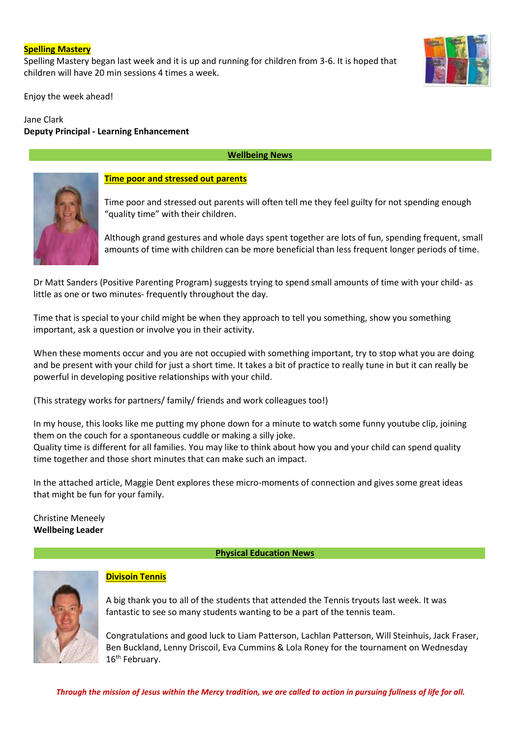#### **Spelling Mastery**

Spelling Mastery began last week and it is up and running for children from 3-6. It is hoped that children will have 20 min sessions 4 times a week.

Enjoy the week ahead!

#### Jane Clark **Deputy Principal - Learning Enhancement**

#### **Wellbeing News**



#### **Time poor and stressed out parents**

Time poor and stressed out parents will often tell me they feel guilty for not spending enough "quality time" with their children.

Although grand gestures and whole days spent together are lots of fun, spending frequent, small amounts of time with children can be more beneficial than less frequent longer periods of time.

Dr Matt Sanders (Positive Parenting Program) suggests trying to spend small amounts of time with your child- as little as one or two minutes- frequently throughout the day.

Time that is special to your child might be when they approach to tell you something, show you something important, ask a question or involve you in their activity.

When these moments occur and you are not occupied with something important, try to stop what you are doing and be present with your child for just a short time. It takes a bit of practice to really tune in but it can really be powerful in developing positive relationships with your child.

(This strategy works for partners/ family/ friends and work colleagues too!)

In my house, this looks like me putting my phone down for a minute to watch some funny youtube clip, joining them on the couch for a spontaneous cuddle or making a silly joke. Quality time is different for all families. You may like to think about how you and your child can spend quality time together and those short minutes that can make such an impact.

In the attached article, Maggie Dent explores these micro-moments of connection and gives some great ideas that might be fun for your family.

Christine Meneely **Wellbeing Leader** 

**Physical Education News**



### **Divisoin Tennis**

A big thank you to all of the students that attended the Tennis tryouts last week. It was fantastic to see so many students wanting to be a part of the tennis team.

Congratulations and good luck to Liam Patterson, Lachlan Patterson, Will Steinhuis, Jack Fraser, Ben Buckland, Lenny Driscoil, Eva Cummins & Lola Roney for the tournament on Wednesday 16<sup>th</sup> February.

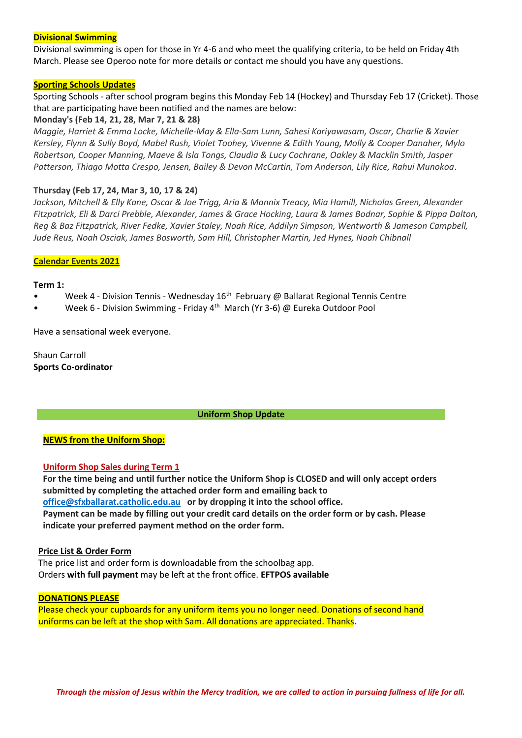#### **Divisional Swimming**

Divisional swimming is open for those in Yr 4-6 and who meet the qualifying criteria, to be held on Friday 4th March. Please see Operoo note for more details or contact me should you have any questions.

#### **Sporting Schools Updates**

Sporting Schools - after school program begins this Monday Feb 14 (Hockey) and Thursday Feb 17 (Cricket). Those that are participating have been notified and the names are below:

#### **Monday's (Feb 14, 21, 28, Mar 7, 21 & 28)**

*Maggie, Harriet & Emma Locke, Michelle-May & Ella-Sam Lunn, Sahesi Kariyawasam, Oscar, Charlie & Xavier Kersley, Flynn & Sully Boyd, Mabel Rush, Violet Toohey, Vivenne & Edith Young, Molly & Cooper Danaher, Mylo Robertson, Cooper Manning, Maeve & Isla Tongs, Claudia & Lucy Cochrane, Oakley & Macklin Smith, Jasper Patterson, Thiago Motta Crespo, Jensen, Bailey & Devon McCartin, Tom Anderson, Lily Rice, Rahui Munokoa*.

#### **Thursday (Feb 17, 24, Mar 3, 10, 17 & 24)**

*Jackson, Mitchell & Elly Kane, Oscar & Joe Trigg, Aria & Mannix Treacy, Mia Hamill, Nicholas Green, Alexander Fitzpatrick, Eli & Darci Prebble, Alexander, James & Grace Hocking, Laura & James Bodnar, Sophie & Pippa Dalton, Reg & Baz Fitzpatrick, River Fedke, Xavier Staley, Noah Rice, Addilyn Simpson, Wentworth & Jameson Campbell, Jude Reus, Noah Osciak, James Bosworth, Sam Hill, Christopher Martin, Jed Hynes, Noah Chibnall*

#### **Calendar Events 2021**

#### **Term 1:**

- Week 4 Division Tennis Wednesday  $16<sup>th</sup>$  February @ Ballarat Regional Tennis Centre
- Week 6 Division Swimming Friday 4th March (Yr 3-6) @ Eureka Outdoor Pool

Have a sensational week everyone.

Shaun Carroll **Sports Co-ordinator**

#### **Uniform Shop Update**

#### **NEWS from the Uniform Shop:**

#### **Uniform Shop Sales during Term 1**

**For the time being and until further notice the Uniform Shop is CLOSED and will only accept orders submitted by completing the attached order form and emailing back to [office@sfxballarat.catholic.edu.au](mailto:office@sfxballarat.catholic.edu.au) or by dropping it into the school office. Payment can be made by filling out your credit card details on the order form or by cash. Please indicate your preferred payment method on the order form.**

#### **Price List & Order Form**

The price list and order form is downloadable from the schoolbag app. Orders **with full payment** may be left at the front office. **EFTPOS available**

#### **DONATIONS PLEASE**

Please check your cupboards for any uniform items you no longer need. Donations of second hand uniforms can be left at the shop with Sam. All donations are appreciated. Thanks.